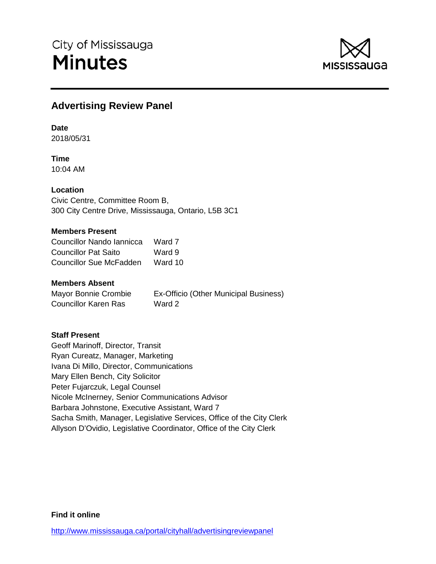

# **Advertising Review Panel**

**Date**

2018/05/31

**Time** 10:04 AM

### **Location**

Civic Centre, Committee Room B, 300 City Centre Drive, Mississauga, Ontario, L5B 3C1

### **Members Present**

| Councillor Nando Iannicca | Ward 7  |
|---------------------------|---------|
| Councillor Pat Saito      | Ward 9  |
| Councillor Sue McFadden   | Ward 10 |

#### **Members Absent**

Mayor Bonnie Crombie Ex-Officio (Other Municipal Business) Councillor Karen Ras Ward 2

### **Staff Present**

Geoff Marinoff, Director, Transit Ryan Cureatz, Manager, Marketing Ivana Di Millo, Director, Communications Mary Ellen Bench, City Solicitor Peter Fujarczuk, Legal Counsel Nicole McInerney, Senior Communications Advisor Barbara Johnstone, Executive Assistant, Ward 7 Sacha Smith, Manager, Legislative Services, Office of the City Clerk Allyson D'Ovidio, Legislative Coordinator, Office of the City Clerk

### **Find it online**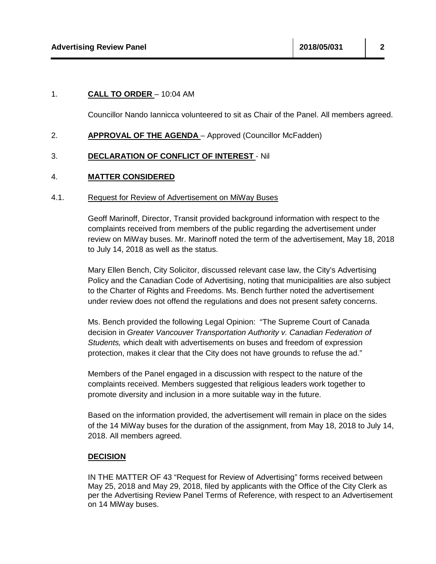## 1. **CALL TO ORDER** – 10:04 AM

Councillor Nando Iannicca volunteered to sit as Chair of the Panel. All members agreed.

## 2. **APPROVAL OF THE AGENDA** - Approved (Councillor McFadden)

## 3. **DECLARATION OF CONFLICT OF INTEREST** - Nil

## 4. **MATTER CONSIDERED**

### 4.1. Request for Review of Advertisement on MiWay Buses

Geoff Marinoff, Director, Transit provided background information with respect to the complaints received from members of the public regarding the advertisement under review on MiWay buses. Mr. Marinoff noted the term of the advertisement, May 18, 2018 to July 14, 2018 as well as the status.

Mary Ellen Bench, City Solicitor, discussed relevant case law, the City's Advertising Policy and the Canadian Code of Advertising, noting that municipalities are also subject to the Charter of Rights and Freedoms. Ms. Bench further noted the advertisement under review does not offend the regulations and does not present safety concerns.

Ms. Bench provided the following Legal Opinion: "The Supreme Court of Canada decision in *Greater Vancouver Transportation Authority v. Canadian Federation of Students,* which dealt with advertisements on buses and freedom of expression protection, makes it clear that the City does not have grounds to refuse the ad."

Members of the Panel engaged in a discussion with respect to the nature of the complaints received. Members suggested that religious leaders work together to promote diversity and inclusion in a more suitable way in the future.

Based on the information provided, the advertisement will remain in place on the sides of the 14 MiWay buses for the duration of the assignment, from May 18, 2018 to July 14, 2018. All members agreed.

## **DECISION**

IN THE MATTER OF 43 "Request for Review of Advertising" forms received between May 25, 2018 and May 29, 2018, filed by applicants with the Office of the City Clerk as per the Advertising Review Panel Terms of Reference, with respect to an Advertisement on 14 MiWay buses.